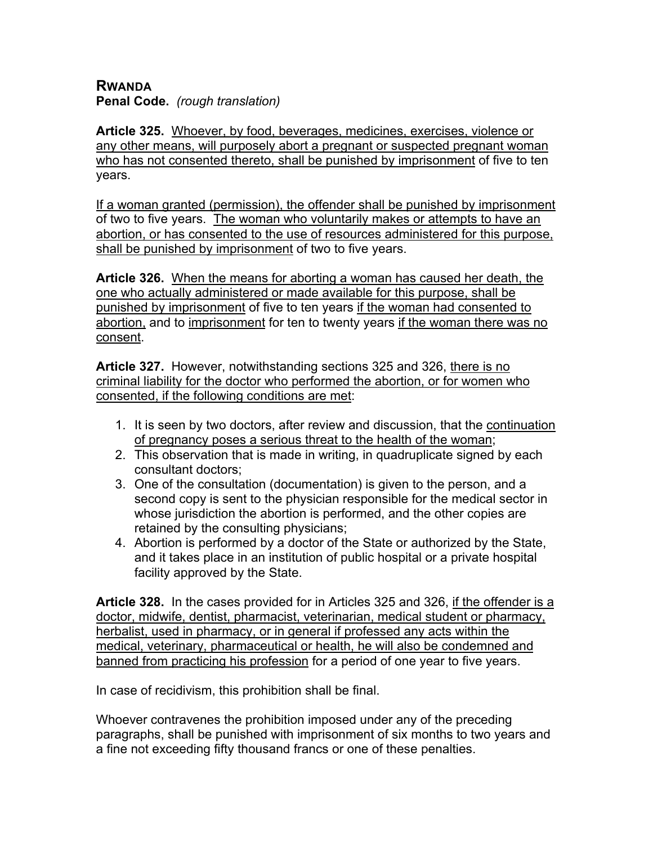## **RWANDA**

**Penal Code.** *(rough translation)*

**Article 325.** Whoever, by food, beverages, medicines, exercises, violence or any other means, will purposely abort a pregnant or suspected pregnant woman who has not consented thereto, shall be punished by imprisonment of five to ten years.

If a woman granted (permission), the offender shall be punished by imprisonment of two to five years. The woman who voluntarily makes or attempts to have an abortion, or has consented to the use of resources administered for this purpose, shall be punished by imprisonment of two to five years.

**Article 326.** When the means for aborting a woman has caused her death, the one who actually administered or made available for this purpose, shall be punished by imprisonment of five to ten years if the woman had consented to abortion, and to imprisonment for ten to twenty years if the woman there was no consent.

**Article 327.** However, notwithstanding sections 325 and 326, there is no criminal liability for the doctor who performed the abortion, or for women who consented, if the following conditions are met:

- 1. It is seen by two doctors, after review and discussion, that the continuation of pregnancy poses a serious threat to the health of the woman;
- 2. This observation that is made in writing, in quadruplicate signed by each consultant doctors;
- 3. One of the consultation (documentation) is given to the person, and a second copy is sent to the physician responsible for the medical sector in whose jurisdiction the abortion is performed, and the other copies are retained by the consulting physicians;
- 4. Abortion is performed by a doctor of the State or authorized by the State, and it takes place in an institution of public hospital or a private hospital facility approved by the State.

**Article 328.** In the cases provided for in Articles 325 and 326, if the offender is a doctor, midwife, dentist, pharmacist, veterinarian, medical student or pharmacy, herbalist, used in pharmacy, or in general if professed any acts within the medical, veterinary, pharmaceutical or health, he will also be condemned and banned from practicing his profession for a period of one year to five years.

In case of recidivism, this prohibition shall be final.

Whoever contravenes the prohibition imposed under any of the preceding paragraphs, shall be punished with imprisonment of six months to two years and a fine not exceeding fifty thousand francs or one of these penalties.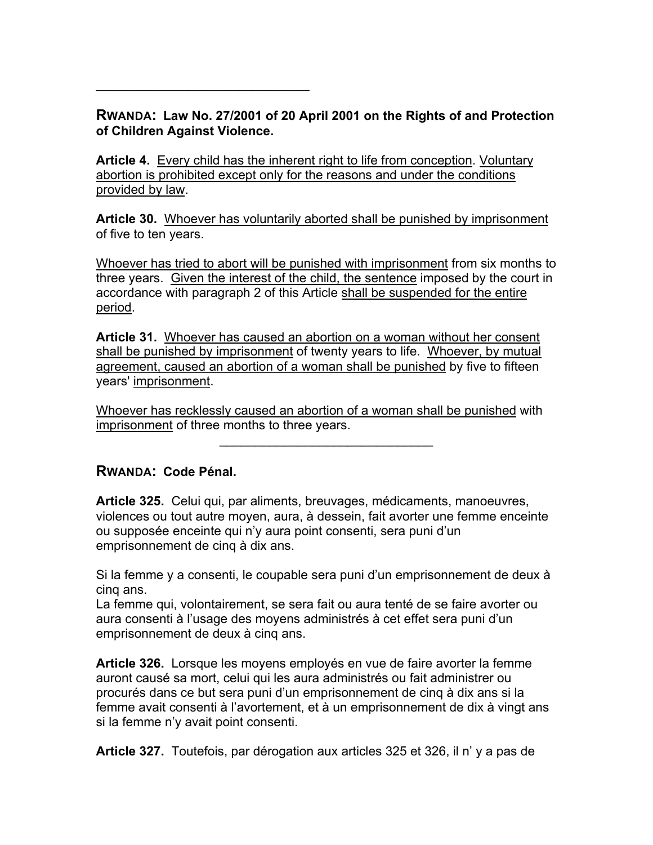## **RWANDA: Law No. 27/2001 of 20 April 2001 on the Rights of and Protection of Children Against Violence.**

**Article 4.** Every child has the inherent right to life from conception. Voluntary abortion is prohibited except only for the reasons and under the conditions provided by law.

**Article 30.** Whoever has voluntarily aborted shall be punished by imprisonment of five to ten years.

Whoever has tried to abort will be punished with imprisonment from six months to three years. Given the interest of the child, the sentence imposed by the court in accordance with paragraph 2 of this Article shall be suspended for the entire period.

**Article 31.** Whoever has caused an abortion on a woman without her consent shall be punished by imprisonment of twenty years to life. Whoever, by mutual agreement, caused an abortion of a woman shall be punished by five to fifteen years' imprisonment.

Whoever has recklessly caused an abortion of a woman shall be punished with imprisonment of three months to three years.

 $\mathcal{L}_\text{max}$  and  $\mathcal{L}_\text{max}$  and  $\mathcal{L}_\text{max}$ 

## **RWANDA: Code Pénal.**

 $\mathcal{L}_\text{max}$  and  $\mathcal{L}_\text{max}$  and  $\mathcal{L}_\text{max}$ 

**Article 325.** Celui qui, par aliments, breuvages, médicaments, manoeuvres, violences ou tout autre moyen, aura, à dessein, fait avorter une femme enceinte ou supposée enceinte qui n'y aura point consenti, sera puni d'un emprisonnement de cinq à dix ans.

Si la femme y a consenti, le coupable sera puni d'un emprisonnement de deux à cinq ans.

La femme qui, volontairement, se sera fait ou aura tenté de se faire avorter ou aura consenti à l'usage des moyens administrés à cet effet sera puni d'un emprisonnement de deux à cinq ans.

**Article 326.** Lorsque les moyens employés en vue de faire avorter la femme auront causé sa mort, celui qui les aura administrés ou fait administrer ou procurés dans ce but sera puni d'un emprisonnement de cinq à dix ans si la femme avait consenti à l'avortement, et à un emprisonnement de dix à vingt ans si la femme n'y avait point consenti.

**Article 327.** Toutefois, par dérogation aux articles 325 et 326, il n' y a pas de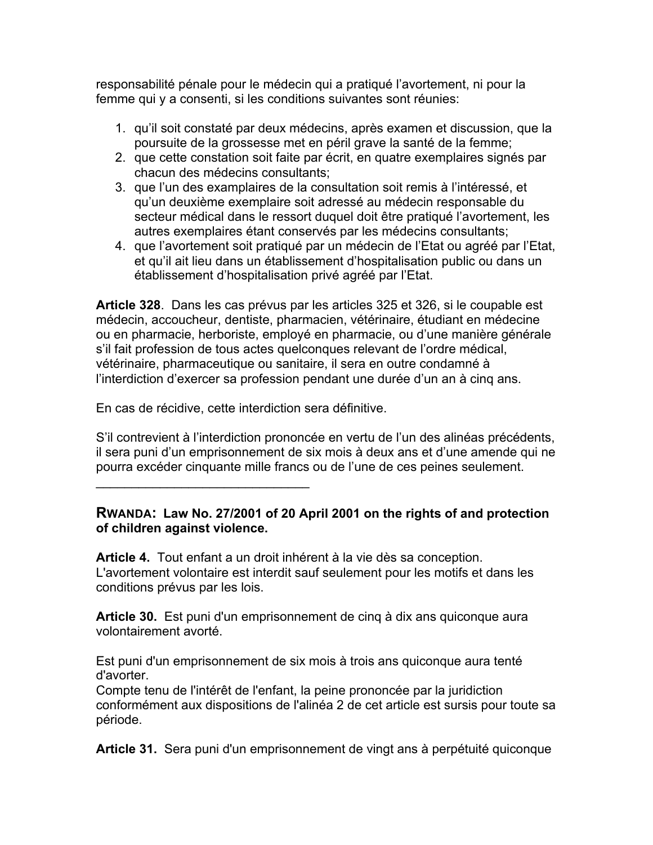responsabilité pénale pour le médecin qui a pratiqué l'avortement, ni pour la femme qui y a consenti, si les conditions suivantes sont réunies:

- 1. qu'il soit constaté par deux médecins, après examen et discussion, que la poursuite de la grossesse met en péril grave la santé de la femme;
- 2. que cette constation soit faite par écrit, en quatre exemplaires signés par chacun des médecins consultants;
- 3. que l'un des examplaires de la consultation soit remis à l'intéressé, et qu'un deuxième exemplaire soit adressé au médecin responsable du secteur médical dans le ressort duquel doit être pratiqué l'avortement, les autres exemplaires étant conservés par les médecins consultants;
- 4. que l'avortement soit pratiqué par un médecin de l'Etat ou agréé par l'Etat, et qu'il ait lieu dans un établissement d'hospitalisation public ou dans un établissement d'hospitalisation privé agréé par l'Etat.

**Article 328**. Dans les cas prévus par les articles 325 et 326, si le coupable est médecin, accoucheur, dentiste, pharmacien, vétérinaire, étudiant en médecine ou en pharmacie, herboriste, employé en pharmacie, ou d'une manière générale s'il fait profession de tous actes quelconques relevant de l'ordre médical, vétérinaire, pharmaceutique ou sanitaire, il sera en outre condamné à l'interdiction d'exercer sa profession pendant une durée d'un an à cinq ans.

En cas de récidive, cette interdiction sera définitive.

 $\mathcal{L}=\{1,2,3,4,5\}$ 

S'il contrevient à l'interdiction prononcée en vertu de l'un des alinéas précédents, il sera puni d'un emprisonnement de six mois à deux ans et d'une amende qui ne pourra excéder cinquante mille francs ou de l'une de ces peines seulement.

## **RWANDA: Law No. 27/2001 of 20 April 2001 on the rights of and protection of children against violence.**

**Article 4.** Tout enfant a un droit inhérent à la vie dès sa conception. L'avortement volontaire est interdit sauf seulement pour les motifs et dans les conditions prévus par les lois.

**Article 30.** Est puni d'un emprisonnement de cinq à dix ans quiconque aura volontairement avorté.

Est puni d'un emprisonnement de six mois à trois ans quiconque aura tenté d'avorter.

Compte tenu de l'intérêt de l'enfant, la peine prononcée par la juridiction conformément aux dispositions de l'alinéa 2 de cet article est sursis pour toute sa période.

**Article 31.** Sera puni d'un emprisonnement de vingt ans à perpétuité quiconque